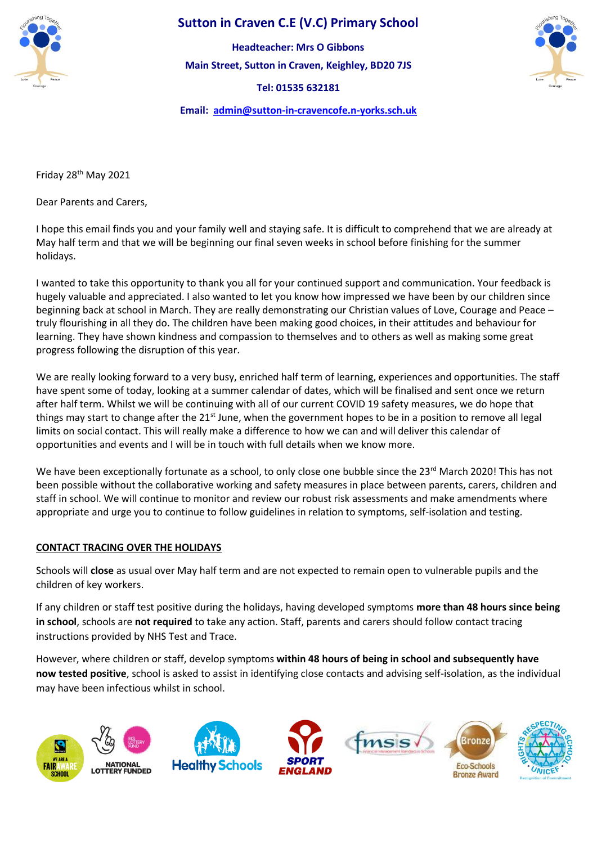

## **Sutton in Craven C.E (V.C) Primary School**

**Main Street, Sutton in Craven, Keighley, BD20 7JS Headteacher: Mrs O Gibbons**

**Tel: 01535 632181** 



**Email: [admin@sutton-in-cravencofe.n-yorks.sch.uk](mailto:admin@sutton-in-cravencofe.n-yorks.sch.uk)**

Friday 28<sup>th</sup> May 2021

Dear Parents and Carers,

I hope this email finds you and your family well and staying safe. It is difficult to comprehend that we are already at May half term and that we will be beginning our final seven weeks in school before finishing for the summer holidays.

I wanted to take this opportunity to thank you all for your continued support and communication. Your feedback is hugely valuable and appreciated. I also wanted to let you know how impressed we have been by our children since beginning back at school in March. They are really demonstrating our Christian values of Love, Courage and Peace – truly flourishing in all they do. The children have been making good choices, in their attitudes and behaviour for learning. They have shown kindness and compassion to themselves and to others as well as making some great progress following the disruption of this year.

We are really looking forward to a very busy, enriched half term of learning, experiences and opportunities. The staff have spent some of today, looking at a summer calendar of dates, which will be finalised and sent once we return after half term. Whilst we will be continuing with all of our current COVID 19 safety measures, we do hope that things may start to change after the 21<sup>st</sup> June, when the government hopes to be in a position to remove all legal limits on social contact. This will really make a difference to how we can and will deliver this calendar of opportunities and events and I will be in touch with full details when we know more.

We have been exceptionally fortunate as a school, to only close one bubble since the 23rd March 2020! This has not been possible without the collaborative working and safety measures in place between parents, carers, children and staff in school. We will continue to monitor and review our robust risk assessments and make amendments where appropriate and urge you to continue to follow guidelines in relation to symptoms, self-isolation and testing.

## **CONTACT TRACING OVER THE HOLIDAYS**

Schools will **close** as usual over May half term and are not expected to remain open to vulnerable pupils and the children of key workers.

If any children or staff test positive during the holidays, having developed symptoms **more than 48 hours since being in school**, schools are **not required** to take any action. Staff, parents and carers should follow contact tracing instructions provided by NHS Test and Trace.

However, where children or staff, develop symptoms **within 48 hours of being in school and subsequently have now tested positive**, school is asked to assist in identifying close contacts and advising self-isolation, as the individual may have been infectious whilst in school.